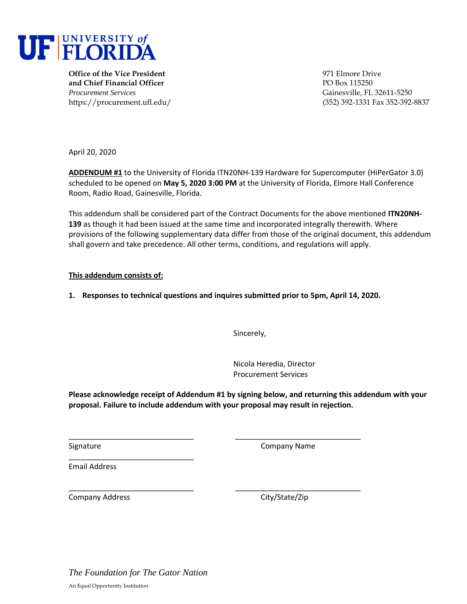

**Office of the Vice President** 1971 Elmore Drive **and Chief Financial Officer** PO Box 115250 *Procurement Services* Gainesville, FL 32611-5250

https://procurement.ufl.edu/ (352) 392-1331 Fax 352-392-8837

April 20, 2020

**ADDENDUM #1** to the University of Florida ITN20NH-139 Hardware for Supercomputer (HiPerGator 3.0) scheduled to be opened on **May 5, 2020 3:00 PM** at the University of Florida, Elmore Hall Conference Room, Radio Road, Gainesville, Florida.

This addendum shall be considered part of the Contract Documents for the above mentioned **ITN20NH-139** as though it had been issued at the same time and incorporated integrally therewith. Where provisions of the following supplementary data differ from those of the original document, this addendum shall govern and take precedence. All other terms, conditions, and regulations will apply.

# **This addendum consists of:**

**1. Responses to technical questions and inquires submitted prior to 5pm, April 14, 2020.** 

\_\_\_\_\_\_\_\_\_\_\_\_\_\_\_\_\_\_\_\_\_\_\_\_\_\_\_\_\_\_ \_\_\_\_\_\_\_\_\_\_\_\_\_\_\_\_\_\_\_\_\_\_\_\_\_\_\_\_\_\_

\_\_\_\_\_\_\_\_\_\_\_\_\_\_\_\_\_\_\_\_\_\_\_\_\_\_\_\_\_\_ \_\_\_\_\_\_\_\_\_\_\_\_\_\_\_\_\_\_\_\_\_\_\_\_\_\_\_\_\_\_

Sincerely,

Nicola Heredia, Director Procurement Services

**Please acknowledge receipt of Addendum #1 by signing below, and returning this addendum with your proposal. Failure to include addendum with your proposal may result in rejection.** 

Signature Company Name

Email Address

Company Address Company Address City/State/Zip

\_\_\_\_\_\_\_\_\_\_\_\_\_\_\_\_\_\_\_\_\_\_\_\_\_\_\_\_\_\_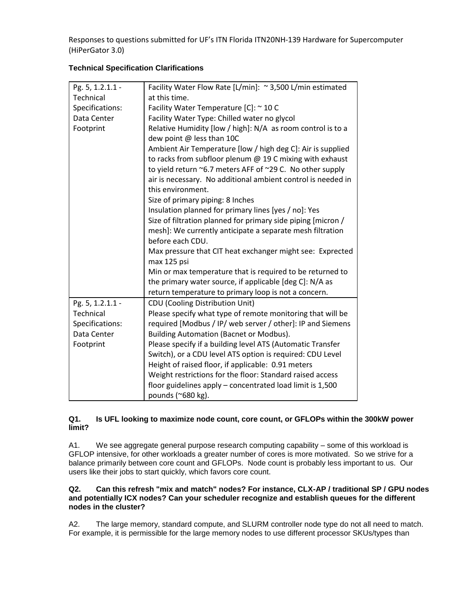| Pg. 5, 1.2.1.1 - | Facility Water Flow Rate [L/min]: ~ 3,500 L/min estimated    |
|------------------|--------------------------------------------------------------|
| Technical        | at this time.                                                |
| Specifications:  | Facility Water Temperature [C]: ~ 10 C                       |
| Data Center      | Facility Water Type: Chilled water no glycol                 |
| Footprint        | Relative Humidity [low / high]: N/A as room control is to a  |
|                  | dew point @ less than 10C                                    |
|                  | Ambient Air Temperature [low / high deg C]: Air is supplied  |
|                  | to racks from subfloor plenum $@$ 19 C mixing with exhaust   |
|                  | to yield return ~6.7 meters AFF of ~29 C. No other supply    |
|                  | air is necessary. No additional ambient control is needed in |
|                  | this environment.                                            |
|                  | Size of primary piping: 8 Inches                             |
|                  | Insulation planned for primary lines [yes / no]: Yes         |
|                  | Size of filtration planned for primary side piping [micron / |
|                  | mesh]: We currently anticipate a separate mesh filtration    |
|                  | before each CDU.                                             |
|                  | Max pressure that CIT heat exchanger might see: Exprected    |
|                  | max 125 psi                                                  |
|                  | Min or max temperature that is required to be returned to    |
|                  | the primary water source, if applicable [deg C]: N/A as      |
|                  | return temperature to primary loop is not a concern.         |
| Pg. 5, 1.2.1.1 - | CDU (Cooling Distribution Unit)                              |
| Technical        | Please specify what type of remote monitoring that will be   |
| Specifications:  | required [Modbus / IP/ web server / other]: IP and Siemens   |
| Data Center      | <b>Building Automation (Bacnet or Modbus).</b>               |
| Footprint        | Please specify if a building level ATS (Automatic Transfer   |
|                  | Switch), or a CDU level ATS option is required: CDU Level    |
|                  | Height of raised floor, if applicable: 0.91 meters           |
|                  | Weight restrictions for the floor: Standard raised access    |
|                  | floor guidelines apply – concentrated load limit is 1,500    |
|                  | pounds (~680 kg).                                            |

# **Technical Specification Clarifications**

### **Q1. Is UFL looking to maximize node count, core count, or GFLOPs within the 300kW power limit?**

A1. We see aggregate general purpose research computing capability – some of this workload is GFLOP intensive, for other workloads a greater number of cores is more motivated. So we strive for a balance primarily between core count and GFLOPs. Node count is probably less important to us. Our users like their jobs to start quickly, which favors core count.

## **Q2. Can this refresh "mix and match" nodes? For instance, CLX-AP / traditional SP / GPU nodes and potentially ICX nodes? Can your scheduler recognize and establish queues for the different nodes in the cluster?**

A2. The large memory, standard compute, and SLURM controller node type do not all need to match. For example, it is permissible for the large memory nodes to use different processor SKUs/types than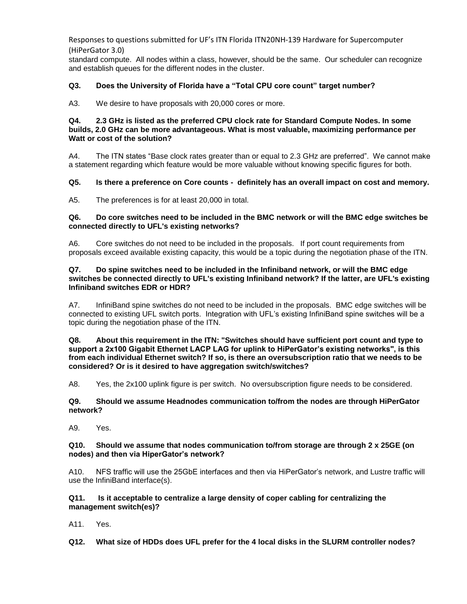standard compute. All nodes within a class, however, should be the same. Our scheduler can recognize and establish queues for the different nodes in the cluster.

## **Q3. Does the University of Florida have a "Total CPU core count" target number?**

A3. We desire to have proposals with 20,000 cores or more.

#### **Q4. 2.3 GHz is listed as the preferred CPU clock rate for Standard Compute Nodes. In some builds, 2.0 GHz can be more advantageous. What is most valuable, maximizing performance per Watt or cost of the solution?**

A4. The ITN states "Base clock rates greater than or equal to 2.3 GHz are preferred". We cannot make a statement regarding which feature would be more valuable without knowing specific figures for both.

#### **Q5. Is there a preference on Core counts - definitely has an overall impact on cost and memory.**

A5. The preferences is for at least 20,000 in total.

#### **Q6. Do core switches need to be included in the BMC network or will the BMC edge switches be connected directly to UFL's existing networks?**

A6. Core switches do not need to be included in the proposals. If port count requirements from proposals exceed available existing capacity, this would be a topic during the negotiation phase of the ITN.

#### **Q7. Do spine switches need to be included in the Infiniband network, or will the BMC edge switches be connected directly to UFL's existing Infiniband network? If the latter, are UFL's existing Infiniband switches EDR or HDR?**

A7. InfiniBand spine switches do not need to be included in the proposals. BMC edge switches will be connected to existing UFL switch ports. Integration with UFL's existing InfiniBand spine switches will be a topic during the negotiation phase of the ITN.

#### **Q8. About this requirement in the ITN: "Switches should have sufficient port count and type to support a 2x100 Gigabit Ethernet LACP LAG for uplink to HiPerGator's existing networks", is this from each individual Ethernet switch? If so, is there an oversubscription ratio that we needs to be considered? Or is it desired to have aggregation switch/switches?**

A8. Yes, the 2x100 uplink figure is per switch. No oversubscription figure needs to be considered.

#### **Q9. Should we assume Headnodes communication to/from the nodes are through HiPerGator network?**

A9. Yes.

#### **Q10. Should we assume that nodes communication to/from storage are through 2 x 25GE (on nodes) and then via HiperGator's network?**

A10. NFS traffic will use the 25GbE interfaces and then via HiPerGator's network, and Lustre traffic will use the InfiniBand interface(s).

### **Q11. Is it acceptable to centralize a large density of coper cabling for centralizing the management switch(es)?**

A11. Yes.

**Q12. What size of HDDs does UFL prefer for the 4 local disks in the SLURM controller nodes?**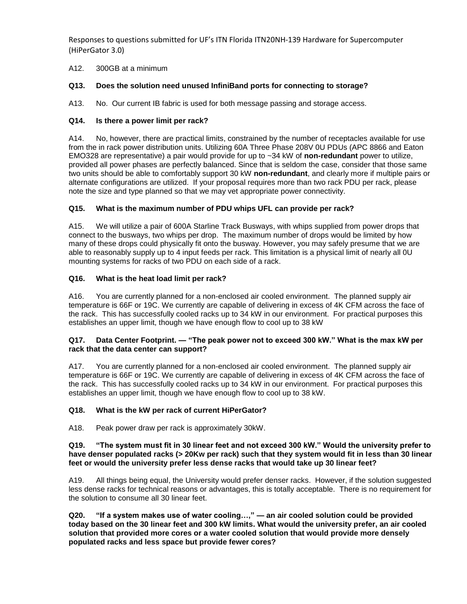A12. 300GB at a minimum

## **Q13. Does the solution need unused InfiniBand ports for connecting to storage?**

A13. No. Our current IB fabric is used for both message passing and storage access.

## **Q14. Is there a power limit per rack?**

A14. No, however, there are practical limits, constrained by the number of receptacles available for use from the in rack power distribution units. Utilizing 60A Three Phase 208V 0U PDUs (APC 8866 and Eaton EMO328 are representative) a pair would provide for up to ~34 kW of **non-redundant** power to utilize, provided all power phases are perfectly balanced. Since that is seldom the case, consider that those same two units should be able to comfortably support 30 kW **non-redundant**, and clearly more if multiple pairs or alternate configurations are utilized. If your proposal requires more than two rack PDU per rack, please note the size and type planned so that we may vet appropriate power connectivity.

# **Q15. What is the maximum number of PDU whips UFL can provide per rack?**

A15. We will utilize a pair of 600A Starline Track Busways, with whips supplied from power drops that connect to the busways, two whips per drop. The maximum number of drops would be limited by how many of these drops could physically fit onto the busway. However, you may safely presume that we are able to reasonably supply up to 4 input feeds per rack. This limitation is a physical limit of nearly all 0U mounting systems for racks of two PDU on each side of a rack.

## **Q16. What is the heat load limit per rack?**

A16. You are currently planned for a non-enclosed air cooled environment. The planned supply air temperature is 66F or 19C. We currently are capable of delivering in excess of 4K CFM across the face of the rack. This has successfully cooled racks up to 34 kW in our environment. For practical purposes this establishes an upper limit, though we have enough flow to cool up to 38 kW

### **Q17. Data Center Footprint. — "The peak power not to exceed 300 kW." What is the max kW per rack that the data center can support?**

A17. You are currently planned for a non-enclosed air cooled environment. The planned supply air temperature is 66F or 19C. We currently are capable of delivering in excess of 4K CFM across the face of the rack. This has successfully cooled racks up to 34 kW in our environment. For practical purposes this establishes an upper limit, though we have enough flow to cool up to 38 kW.

## **Q18. What is the kW per rack of current HiPerGator?**

A18. Peak power draw per rack is approximately 30kW.

### **Q19. "The system must fit in 30 linear feet and not exceed 300 kW." Would the university prefer to have denser populated racks (> 20Kw per rack) such that they system would fit in less than 30 linear feet or would the university prefer less dense racks that would take up 30 linear feet?**

A19. All things being equal, the University would prefer denser racks. However, if the solution suggested less dense racks for technical reasons or advantages, this is totally acceptable. There is no requirement for the solution to consume all 30 linear feet.

**Q20. "If a system makes use of water cooling…," — an air cooled solution could be provided today based on the 30 linear feet and 300 kW limits. What would the university prefer, an air cooled solution that provided more cores or a water cooled solution that would provide more densely populated racks and less space but provide fewer cores?**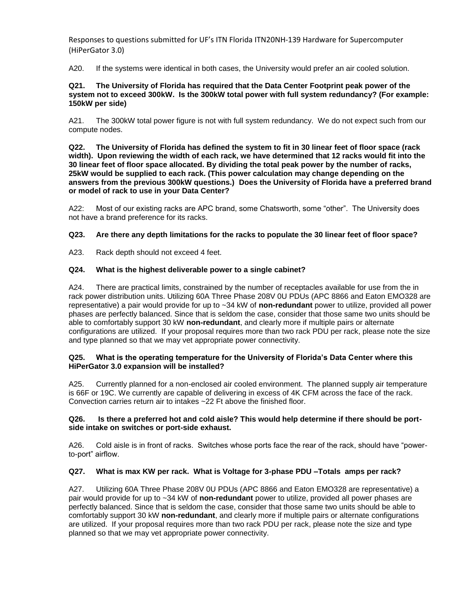A20. If the systems were identical in both cases, the University would prefer an air cooled solution.

#### **Q21. The University of Florida has required that the Data Center Footprint peak power of the system not to exceed 300kW. Is the 300kW total power with full system redundancy? (For example: 150kW per side)**

A21. The 300kW total power figure is not with full system redundancy. We do not expect such from our compute nodes.

**Q22. The University of Florida has defined the system to fit in 30 linear feet of floor space (rack width). Upon reviewing the width of each rack, we have determined that 12 racks would fit into the 30 linear feet of floor space allocated. By dividing the total peak power by the number of racks, 25kW would be supplied to each rack. (This power calculation may change depending on the answers from the previous 300kW questions.) Does the University of Florida have a preferred brand or model of rack to use in your Data Center?**

A22: Most of our existing racks are APC brand, some Chatsworth, some "other". The University does not have a brand preference for its racks.

### **Q23. Are there any depth limitations for the racks to populate the 30 linear feet of floor space?**

A23. Rack depth should not exceed 4 feet.

### **Q24. What is the highest deliverable power to a single cabinet?**

A24. There are practical limits, constrained by the number of receptacles available for use from the in rack power distribution units. Utilizing 60A Three Phase 208V 0U PDUs (APC 8866 and Eaton EMO328 are representative) a pair would provide for up to ~34 kW of **non-redundant** power to utilize, provided all power phases are perfectly balanced. Since that is seldom the case, consider that those same two units should be able to comfortably support 30 kW **non-redundant**, and clearly more if multiple pairs or alternate configurations are utilized. If your proposal requires more than two rack PDU per rack, please note the size and type planned so that we may vet appropriate power connectivity.

#### **Q25. What is the operating temperature for the University of Florida's Data Center where this HiPerGator 3.0 expansion will be installed?**

A25. Currently planned for a non-enclosed air cooled environment. The planned supply air temperature is 66F or 19C. We currently are capable of delivering in excess of 4K CFM across the face of the rack. Convection carries return air to intakes ~22 Ft above the finished floor.

### **Q26. Is there a preferred hot and cold aisle? This would help determine if there should be portside intake on switches or port-side exhaust.**

A26. Cold aisle is in front of racks. Switches whose ports face the rear of the rack, should have "powerto-port" airflow.

## **Q27. What is max KW per rack. What is Voltage for 3-phase PDU –Totals amps per rack?**

A27. Utilizing 60A Three Phase 208V 0U PDUs (APC 8866 and Eaton EMO328 are representative) a pair would provide for up to ~34 kW of **non-redundant** power to utilize, provided all power phases are perfectly balanced. Since that is seldom the case, consider that those same two units should be able to comfortably support 30 kW **non-redundant**, and clearly more if multiple pairs or alternate configurations are utilized. If your proposal requires more than two rack PDU per rack, please note the size and type planned so that we may vet appropriate power connectivity.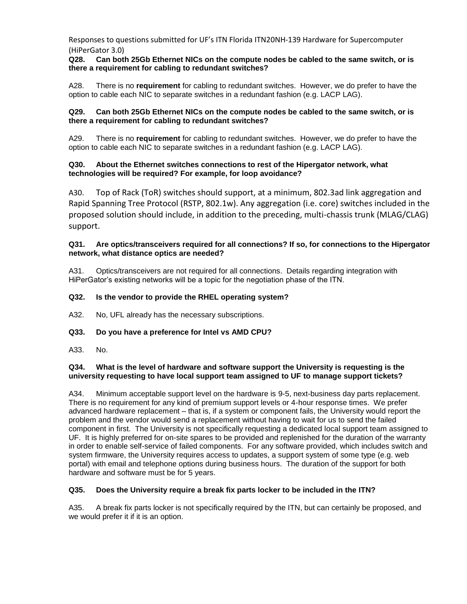### **Q28. Can both 25Gb Ethernet NICs on the compute nodes be cabled to the same switch, or is there a requirement for cabling to redundant switches?**

A28. There is no **requirement** for cabling to redundant switches. However, we do prefer to have the option to cable each NIC to separate switches in a redundant fashion (e.g. LACP LAG).

### **Q29. Can both 25Gb Ethernet NICs on the compute nodes be cabled to the same switch, or is there a requirement for cabling to redundant switches?**

A29. There is no **requirement** for cabling to redundant switches. However, we do prefer to have the option to cable each NIC to separate switches in a redundant fashion (e.g. LACP LAG).

### **Q30. About the Ethernet switches connections to rest of the Hipergator network, what technologies will be required? For example, for loop avoidance?**

A30. Top of Rack (ToR) switches should support, at a minimum, 802.3ad link aggregation and Rapid Spanning Tree Protocol (RSTP, 802.1w). Any aggregation (i.e. core) switches included in the proposed solution should include, in addition to the preceding, multi-chassis trunk (MLAG/CLAG) support.

### **Q31. Are optics/transceivers required for all connections? If so, for connections to the Hipergator network, what distance optics are needed?**

A31. Optics/transceivers are not required for all connections. Details regarding integration with HiPerGator's existing networks will be a topic for the negotiation phase of the ITN.

### **Q32. Is the vendor to provide the RHEL operating system?**

A32. No, UFL already has the necessary subscriptions.

## **Q33. Do you have a preference for Intel vs AMD CPU?**

A33. No.

### **Q34. What is the level of hardware and software support the University is requesting is the university requesting to have local support team assigned to UF to manage support tickets?**

A34. Minimum acceptable support level on the hardware is 9-5, next-business day parts replacement. There is no requirement for any kind of premium support levels or 4-hour response times. We prefer advanced hardware replacement – that is, if a system or component fails, the University would report the problem and the vendor would send a replacement without having to wait for us to send the failed component in first. The University is not specifically requesting a dedicated local support team assigned to UF. It is highly preferred for on-site spares to be provided and replenished for the duration of the warranty in order to enable self-service of failed components. For any software provided, which includes switch and system firmware, the University requires access to updates, a support system of some type (e.g. web portal) with email and telephone options during business hours. The duration of the support for both hardware and software must be for 5 years.

#### **Q35. Does the University require a break fix parts locker to be included in the ITN?**

A35. A break fix parts locker is not specifically required by the ITN, but can certainly be proposed, and we would prefer it if it is an option.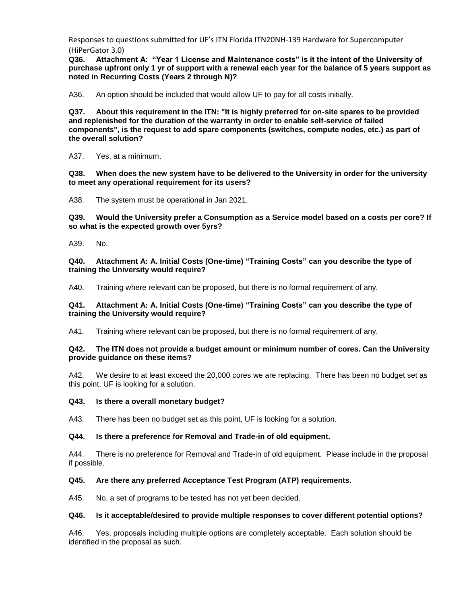**Q36. Attachment A: "Year 1 License and Maintenance costs" is it the intent of the University of purchase upfront only 1 yr of support with a renewal each year for the balance of 5 years support as noted in Recurring Costs (Years 2 through N)?**

A36. An option should be included that would allow UF to pay for all costs initially.

**Q37. About this requirement in the ITN: "It is highly preferred for on-site spares to be provided and replenished for the duration of the warranty in order to enable self-service of failed components", is the request to add spare components (switches, compute nodes, etc.) as part of the overall solution?**

A37. Yes, at a minimum.

**Q38. When does the new system have to be delivered to the University in order for the university to meet any operational requirement for its users?** 

A38. The system must be operational in Jan 2021.

**Q39. Would the University prefer a Consumption as a Service model based on a costs per core? If so what is the expected growth over 5yrs?**

A39. No.

**Q40. Attachment A: A. Initial Costs (One-time) "Training Costs" can you describe the type of training the University would require?**

A40. Training where relevant can be proposed, but there is no formal requirement of any.

### **Q41. Attachment A: A. Initial Costs (One-time) "Training Costs" can you describe the type of training the University would require?**

A41. Training where relevant can be proposed, but there is no formal requirement of any.

### **Q42. The ITN does not provide a budget amount or minimum number of cores. Can the University provide guidance on these items?**

A42. We desire to at least exceed the 20,000 cores we are replacing. There has been no budget set as this point, UF is looking for a solution.

#### **Q43. Is there a overall monetary budget?**

A43. There has been no budget set as this point, UF is looking for a solution.

## **Q44. Is there a preference for Removal and Trade-in of old equipment.**

A44. There is no preference for Removal and Trade-in of old equipment. Please include in the proposal if possible.

## **Q45. Are there any preferred Acceptance Test Program (ATP) requirements.**

A45. No, a set of programs to be tested has not yet been decided.

#### **Q46. Is it acceptable/desired to provide multiple responses to cover different potential options?**

A46. Yes, proposals including multiple options are completely acceptable. Each solution should be identified in the proposal as such.